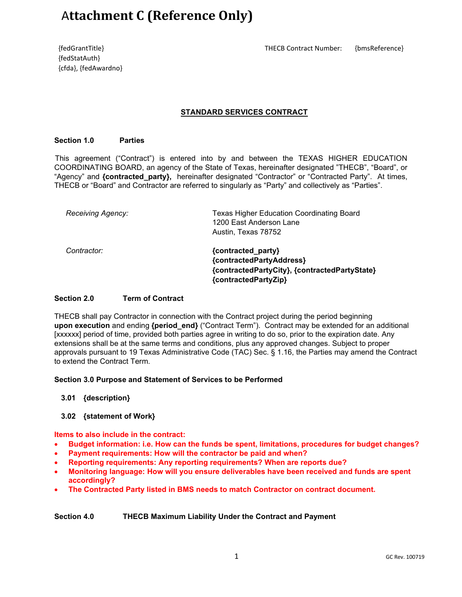# A**ttachment C (Reference Only)**

{fedStatAuth} {cfda}, {fedAwardno}

#### {fedGrantTitle} THECB Contract Number: {bmsReference}

# **STANDARD SERVICES CONTRACT**

#### **Section 1.0 Parties**

 This agreement ("Contract") is entered into by and between the TEXAS HIGHER EDUCATION COORDINATING BOARD, an agency of the State of Texas, hereinafter designated "THECB", "Board", or "Agency" and **{contracted party}**, hereinafter designated "Contractor" or "Contracted Party". At times, THECB or "Board" and Contractor are referred to singularly as "Party" and collectively as "Parties".

| <b>Receiving Agency:</b> | <b>Texas Higher Education Coordinating Board</b><br>1200 East Anderson Lane<br>Austin, Texas 78752 |
|--------------------------|----------------------------------------------------------------------------------------------------|
| Contractor:              | {contracted_party}<br>{contractedPartyAddress}                                                     |
|                          | {contractedPartyCity}, {contractedPartyState}<br>{contractedPartyZip}                              |

## **Section 2.0 Term of Contract**

THECB shall pay Contractor in connection with the Contract project during the period beginning **upon execution** and ending **{period\_end}** ("Contract Term"). Contract may be extended for an additional [xxxxxx] period of time, provided both parties agree in writing to do so, prior to the expiration date. Any extensions shall be at the same terms and conditions, plus any approved changes. Subject to proper approvals pursuant to 19 Texas Administrative Code (TAC) Sec. § 1.16, the Parties may amend the Contract to extend the Contract Term.

#### **Section 3.0 Purpose and Statement of Services to be Performed**

#### **3.01 {description}**

#### **3.02 {statement of Work}**

**Items to also include in the contract:**

- **Budget information: i.e. How can the funds be spent, limitations, procedures for budget changes?**
- **Payment requirements: How will the contractor be paid and when?**
- **Reporting requirements: Any reporting requirements? When are reports due?**
- **Monitoring language: How will you ensure deliverables have been received and funds are spent accordingly?**
- **The Contracted Party listed in BMS needs to match Contractor on contract document.**

## **Section 4.0 THECB Maximum Liability Under the Contract and Payment**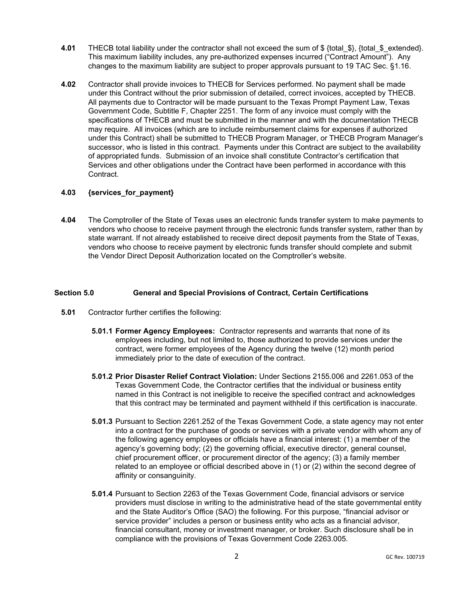- **4.01** THECB total liability under the contractor shall not exceed the sum of \$ {total \$}, {total \$ extended}. This maximum liability includes, any pre-authorized expenses incurred ("Contract Amount"). Any changes to the maximum liability are subject to proper approvals pursuant to 19 TAC Sec. §1.16.
- **4.02** Contractor shall provide invoices to THECB for Services performed. No payment shall be made under this Contract without the prior submission of detailed, correct invoices, accepted by THECB. All payments due to Contractor will be made pursuant to the Texas Prompt Payment Law, Texas Government Code, Subtitle F, Chapter 2251. The form of any invoice must comply with the specifications of THECB and must be submitted in the manner and with the documentation THECB may require. All invoices (which are to include reimbursement claims for expenses if authorized under this Contract) shall be submitted to THECB Program Manager, or THECB Program Manager's successor, who is listed in this contract. Payments under this Contract are subject to the availability of appropriated funds. Submission of an invoice shall constitute Contractor's certification that Services and other obligations under the Contract have been performed in accordance with this Contract.

# **4.03 {services\_for\_payment}**

**4.04** The Comptroller of the State of Texas uses an electronic funds transfer system to make payments to vendors who choose to receive payment through the electronic funds transfer system, rather than by state warrant. If not already established to receive direct deposit payments from the State of Texas, vendors who choose to receive payment by electronic funds transfer should complete and submit the Vendor Direct Deposit Authorization located on the Comptroller's website.

## **Section 5.0 General and Special Provisions of Contract, Certain Certifications**

- **5.01** Contractor further certifies the following:
	- **5.01.1 Former Agency Employees:** Contractor represents and warrants that none of its employees including, but not limited to, those authorized to provide services under the contract, were former employees of the Agency during the twelve (12) month period immediately prior to the date of execution of the contract.
	- **5.01.2 Prior Disaster Relief Contract Violation:** Under Sections 2155.006 and 2261.053 of the Texas Government Code, the Contractor certifies that the individual or business entity named in this Contract is not ineligible to receive the specified contract and acknowledges that this contract may be terminated and payment withheld if this certification is inaccurate.
	- **5.01.3** Pursuant to Section 2261.252 of the Texas Government Code, a state agency may not enter into a contract for the purchase of goods or services with a private vendor with whom any of the following agency employees or officials have a financial interest: (1) a member of the agency's governing body; (2) the governing official, executive director, general counsel, chief procurement officer, or procurement director of the agency; (3) a family member related to an employee or official described above in (1) or (2) within the second degree of affinity or consanguinity.
	- **5.01.4** Pursuant to Section 2263 of the Texas Government Code, financial advisors or service providers must disclose in writing to the administrative head of the state governmental entity and the State Auditor's Office (SAO) the following. For this purpose, "financial advisor or service provider" includes a person or business entity who acts as a financial advisor, financial consultant, money or investment manager, or broker. Such disclosure shall be in compliance with the provisions of Texas Government Code 2263.005.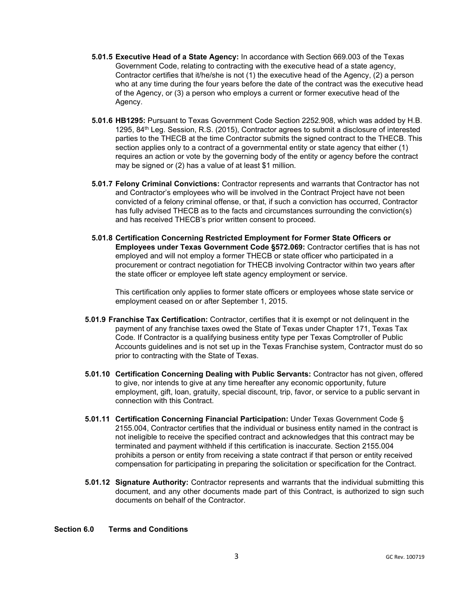- **5.01.5 Executive Head of a State Agency:** In accordance with Section 669.003 of the Texas Government Code, relating to contracting with the executive head of a state agency, Contractor certifies that it/he/she is not  $(1)$  the executive head of the Agency,  $(2)$  a person who at any time during the four years before the date of the contract was the executive head of the Agency, or (3) a person who employs a current or former executive head of the Agency.
- **5.01.6 HB1295:** Pursuant to Texas Government Code Section 2252.908, which was added by H.B. 1295, 84th Leg. Session, R.S. (2015), Contractor agrees to submit a disclosure of interested parties to the THECB at the time Contractor submits the signed contract to the THECB. This section applies only to a contract of a governmental entity or state agency that either (1) requires an action or vote by the governing body of the entity or agency before the contract may be signed or (2) has a value of at least \$1 million.
- **5.01.7 Felony Criminal Convictions:** Contractor represents and warrants that Contractor has not and Contractor's employees who will be involved in the Contract Project have not been convicted of a felony criminal offense, or that, if such a conviction has occurred, Contractor has fully advised THECB as to the facts and circumstances surrounding the conviction(s) and has received THECB's prior written consent to proceed.
- **5.01.8 Certification Concerning Restricted Employment for Former State Officers or Employees under Texas Government Code §572.069:** Contractor certifies that is has not employed and will not employ a former THECB or state officer who participated in a procurement or contract negotiation for THECB involving Contractor within two years after the state officer or employee left state agency employment or service.

This certification only applies to former state officers or employees whose state service or employment ceased on or after September 1, 2015.

- **5.01.9 Franchise Tax Certification:** Contractor, certifies that it is exempt or not delinquent in the payment of any franchise taxes owed the State of Texas under Chapter 171, Texas Tax Code. If Contractor is a qualifying business entity type per Texas Comptroller of Public Accounts guidelines and is not set up in the Texas Franchise system, Contractor must do so prior to contracting with the State of Texas.
- **5.01.10 Certification Concerning Dealing with Public Servants:** Contractor has not given, offered to give, nor intends to give at any time hereafter any economic opportunity, future employment, gift, loan, gratuity, special discount, trip, favor, or service to a public servant in connection with this Contract.
- **5.01.11 Certification Concerning Financial Participation:** Under Texas Government Code § 2155.004, Contractor certifies that the individual or business entity named in the contract is not ineligible to receive the specified contract and acknowledges that this contract may be terminated and payment withheld if this certification is inaccurate. Section 2155.004 prohibits a person or entity from receiving a state contract if that person or entity received compensation for participating in preparing the solicitation or specification for the Contract.
- **5.01.12 Signature Authority:** Contractor represents and warrants that the individual submitting this document, and any other documents made part of this Contract, is authorized to sign such documents on behalf of the Contractor.

## **Section 6.0 Terms and Conditions**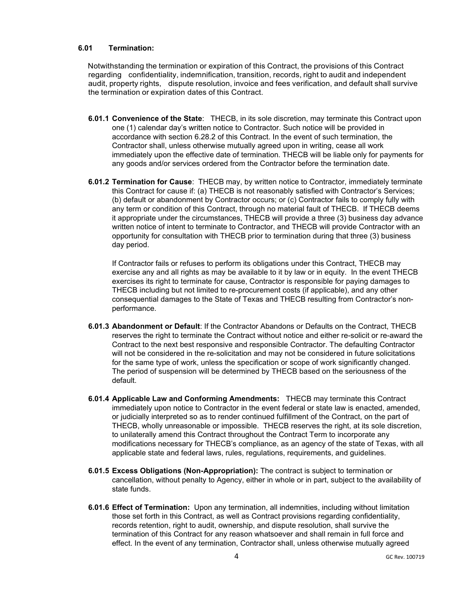## **6.01 Termination:**

Notwithstanding the termination or expiration of this Contract, the provisions of this Contract regarding confidentiality, indemnification, transition, records, right to audit and independent audit, property rights, dispute resolution, invoice and fees verification, and default shall survive the termination or expiration dates of this Contract.

- **6.01.1 Convenience of the State**: THECB, in its sole discretion, may terminate this Contract upon one (1) calendar day's written notice to Contractor. Such notice will be provided in accordance with section 6.28.2 of this Contract. In the event of such termination, the Contractor shall, unless otherwise mutually agreed upon in writing, cease all work immediately upon the effective date of termination. THECB will be liable only for payments for any goods and/or services ordered from the Contractor before the termination date.
- **6.01.2 Termination for Cause**: THECB may, by written notice to Contractor, immediately terminate this Contract for cause if: (a) THECB is not reasonably satisfied with Contractor's Services; (b) default or abandonment by Contractor occurs; or (c) Contractor fails to comply fully with any term or condition of this Contract, through no material fault of THECB. If THECB deems it appropriate under the circumstances, THECB will provide a three (3) business day advance written notice of intent to terminate to Contractor, and THECB will provide Contractor with an opportunity for consultation with THECB prior to termination during that three (3) business day period.

If Contractor fails or refuses to perform its obligations under this Contract, THECB may exercise any and all rights as may be available to it by law or in equity. In the event THECB exercises its right to terminate for cause, Contractor is responsible for paying damages to THECB including but not limited to re-procurement costs (if applicable), and any other consequential damages to the State of Texas and THECB resulting from Contractor's nonperformance.

- **6.01.3 Abandonment or Default**: If the Contractor Abandons or Defaults on the Contract, THECB reserves the right to terminate the Contract without notice and either re-solicit or re-award the Contract to the next best responsive and responsible Contractor. The defaulting Contractor will not be considered in the re-solicitation and may not be considered in future solicitations for the same type of work, unless the specification or scope of work significantly changed. The period of suspension will be determined by THECB based on the seriousness of the default.
- **6.01.4 Applicable Law and Conforming Amendments:** THECB may terminate this Contract immediately upon notice to Contractor in the event federal or state law is enacted, amended, or judicially interpreted so as to render continued fulfillment of the Contract, on the part of THECB, wholly unreasonable or impossible. THECB reserves the right, at its sole discretion, to unilaterally amend this Contract throughout the Contract Term to incorporate any modifications necessary for THECB's compliance, as an agency of the state of Texas, with all applicable state and federal laws, rules, regulations, requirements, and guidelines.
- **6.01.5 Excess Obligations (Non-Appropriation):** The contract is subject to termination or cancellation, without penalty to Agency, either in whole or in part, subject to the availability of state funds.
- **6.01.6 Effect of Termination:** Upon any termination, all indemnities, including without limitation those set forth in this Contract, as well as Contract provisions regarding confidentiality, records retention, right to audit, ownership, and dispute resolution, shall survive the termination of this Contract for any reason whatsoever and shall remain in full force and effect. In the event of any termination, Contractor shall, unless otherwise mutually agreed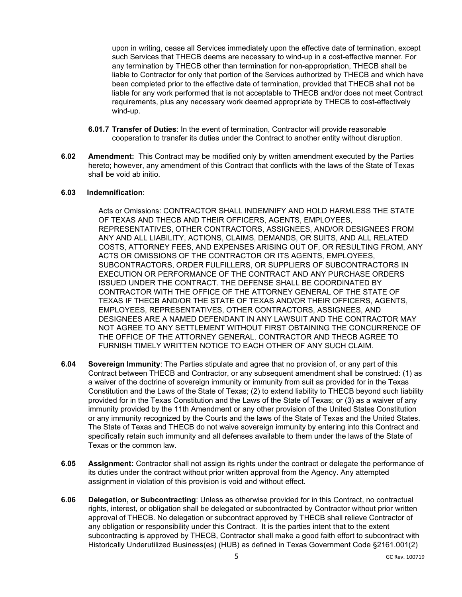upon in writing, cease all Services immediately upon the effective date of termination, except such Services that THECB deems are necessary to wind-up in a cost-effective manner. For any termination by THECB other than termination for non-appropriation, THECB shall be liable to Contractor for only that portion of the Services authorized by THECB and which have been completed prior to the effective date of termination, provided that THECB shall not be liable for any work performed that is not acceptable to THECB and/or does not meet Contract requirements, plus any necessary work deemed appropriate by THECB to cost-effectively wind-up.

- **6.01.7 Transfer of Duties**: In the event of termination, Contractor will provide reasonable cooperation to transfer its duties under the Contract to another entity without disruption.
- **6.02 Amendment:** This Contract may be modified only by written amendment executed by the Parties hereto; however, any amendment of this Contract that conflicts with the laws of the State of Texas shall be void ab initio.

#### **6.03 Indemnification**:

Acts or Omissions: CONTRACTOR SHALL INDEMNIFY AND HOLD HARMLESS THE STATE OF TEXAS AND THECB AND THEIR OFFICERS, AGENTS, EMPLOYEES, REPRESENTATIVES, OTHER CONTRACTORS, ASSIGNEES, AND/OR DESIGNEES FROM ANY AND ALL LIABILITY, ACTIONS, CLAIMS, DEMANDS, OR SUITS, AND ALL RELATED COSTS, ATTORNEY FEES, AND EXPENSES ARISING OUT OF, OR RESULTING FROM, ANY ACTS OR OMISSIONS OF THE CONTRACTOR OR ITS AGENTS, EMPLOYEES, SUBCONTRACTORS, ORDER FULFILLERS, OR SUPPLIERS OF SUBCONTRACTORS IN EXECUTION OR PERFORMANCE OF THE CONTRACT AND ANY PURCHASE ORDERS ISSUED UNDER THE CONTRACT. THE DEFENSE SHALL BE COORDINATED BY CONTRACTOR WITH THE OFFICE OF THE ATTORNEY GENERAL OF THE STATE OF TEXAS IF THECB AND/OR THE STATE OF TEXAS AND/OR THEIR OFFICERS, AGENTS, EMPLOYEES, REPRESENTATIVES, OTHER CONTRACTORS, ASSIGNEES, AND DESIGNEES ARE A NAMED DEFENDANT IN ANY LAWSUIT AND THE CONTRACTOR MAY NOT AGREE TO ANY SETTLEMENT WITHOUT FIRST OBTAINING THE CONCURRENCE OF THE OFFICE OF THE ATTORNEY GENERAL. CONTRACTOR AND THECB AGREE TO FURNISH TIMELY WRITTEN NOTICE TO EACH OTHER OF ANY SUCH CLAIM.

- **6.04 Sovereign Immunity**: The Parties stipulate and agree that no provision of, or any part of this Contract between THECB and Contractor, or any subsequent amendment shall be construed: (1) as a waiver of the doctrine of sovereign immunity or immunity from suit as provided for in the Texas Constitution and the Laws of the State of Texas; (2) to extend liability to THECB beyond such liability provided for in the Texas Constitution and the Laws of the State of Texas; or (3) as a waiver of any immunity provided by the 11th Amendment or any other provision of the United States Constitution or any immunity recognized by the Courts and the laws of the State of Texas and the United States. The State of Texas and THECB do not waive sovereign immunity by entering into this Contract and specifically retain such immunity and all defenses available to them under the laws of the State of Texas or the common law.
- **6.05 Assignment:** Contractor shall not assign its rights under the contract or delegate the performance of its duties under the contract without prior written approval from the Agency. Any attempted assignment in violation of this provision is void and without effect.
- **6.06 Delegation, or Subcontracting**: Unless as otherwise provided for in this Contract, no contractual rights, interest, or obligation shall be delegated or subcontracted by Contractor without prior written approval of THECB. No delegation or subcontract approved by THECB shall relieve Contractor of any obligation or responsibility under this Contract. It is the parties intent that to the extent subcontracting is approved by THECB, Contractor shall make a good faith effort to subcontract with Historically Underutilized Business(es) (HUB) as defined in Texas Government Code §2161.001(2)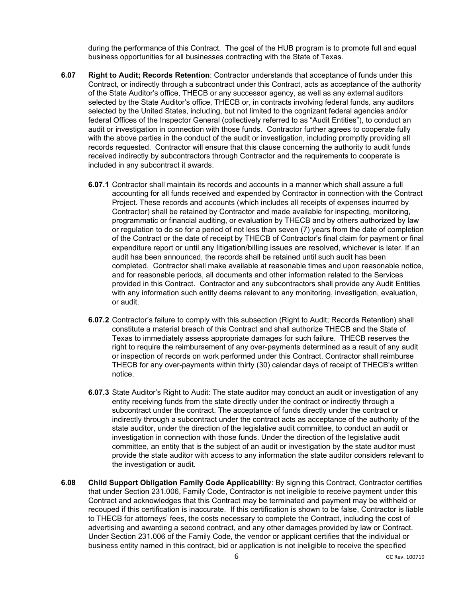during the performance of this Contract. The goal of the HUB program is to promote full and equal business opportunities for all businesses contracting with the State of Texas.

- **6.07 Right to Audit; Records Retention**: Contractor understands that acceptance of funds under this Contract, or indirectly through a subcontract under this Contract, acts as acceptance of the authority of the State Auditor's office, THECB or any successor agency, as well as any external auditors selected by the State Auditor's office, THECB or, in contracts involving federal funds, any auditors selected by the United States, including, but not limited to the cognizant federal agencies and/or federal Offices of the Inspector General (collectively referred to as "Audit Entities"), to conduct an audit or investigation in connection with those funds. Contractor further agrees to cooperate fully with the above parties in the conduct of the audit or investigation, including promptly providing all records requested. Contractor will ensure that this clause concerning the authority to audit funds received indirectly by subcontractors through Contractor and the requirements to cooperate is included in any subcontract it awards.
	- **6.07.1** Contractor shall maintain its records and accounts in a manner which shall assure a full accounting for all funds received and expended by Contractor in connection with the Contract Project. These records and accounts (which includes all receipts of expenses incurred by Contractor) shall be retained by Contractor and made available for inspecting, monitoring, programmatic or financial auditing, or evaluation by THECB and by others authorized by law or regulation to do so for a period of not less than seven (7) years from the date of completion of the Contract or the date of receipt by THECB of Contractor's final claim for payment or final expenditure report or until any litigation/billing issues are resolved, whichever is later. If an audit has been announced, the records shall be retained until such audit has been completed. Contractor shall make available at reasonable times and upon reasonable notice, and for reasonable periods, all documents and other information related to the Services provided in this Contract. Contractor and any subcontractors shall provide any Audit Entities with any information such entity deems relevant to any monitoring, investigation, evaluation, or audit.
	- **6.07.2** Contractor's failure to comply with this subsection (Right to Audit; Records Retention) shall constitute a material breach of this Contract and shall authorize THECB and the State of Texas to immediately assess appropriate damages for such failure. THECB reserves the right to require the reimbursement of any over-payments determined as a result of any audit or inspection of records on work performed under this Contract. Contractor shall reimburse THECB for any over-payments within thirty (30) calendar days of receipt of THECB's written notice.
	- **6.07.3** State Auditor's Right to Audit: The state auditor may conduct an audit or investigation of any entity receiving funds from the state directly under the contract or indirectly through a subcontract under the contract. The acceptance of funds directly under the contract or indirectly through a subcontract under the contract acts as acceptance of the authority of the state auditor, under the direction of the legislative audit committee, to conduct an audit or investigation in connection with those funds. Under the direction of the legislative audit committee, an entity that is the subject of an audit or investigation by the state auditor must provide the state auditor with access to any information the state auditor considers relevant to the investigation or audit.
- **6.08** Child Support Obligation Family Code Applicability: By signing this Contract, Contractor certifies that under Section 231.006, Family Code, Contractor is not ineligible to receive payment under this Contract and acknowledges that this Contract may be terminated and payment may be withheld or recouped if this certification is inaccurate. If this certification is shown to be false, Contractor is liable to THECB for attorneys' fees, the costs necessary to complete the Contract, including the cost of advertising and awarding a second contract, and any other damages provided by law or Contract. Under Section 231.006 of the Family Code, the vendor or applicant certifies that the individual or business entity named in this contract, bid or application is not ineligible to receive the specified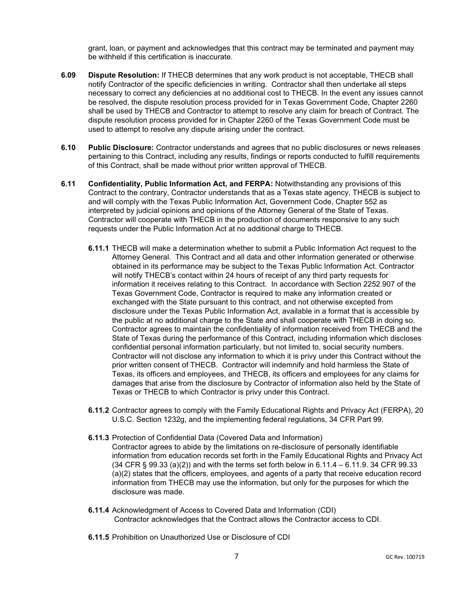grant, loan, or payment and acknowledges that this contract may be terminated and payment may be withheld if this certification is inaccurate.

- **6.09 Dispute Resolution:** If THECB determines that any work product is not acceptable, THECB shall notify Contractor of the specific deficiencies in writing. Contractor shall then undertake all steps necessary to correct any deficiencies at no additional cost to THECB. In the event any issues cannot be resolved, the dispute resolution process provided for in Texas Government Code, Chapter 2260 shall be used by THECB and Contractor to attempt to resolve any claim for breach of Contract. The dispute resolution process provided for in Chapter 2260 of the Texas Government Code must be used to attempt to resolve any dispute arising under the contract.
- **6.10 Public Disclosure:** Contractor understands and agrees that no public disclosures or news releases pertaining to this Contract, including any results, findings or reports conducted to fulfill requirements of this Contract, shall be made without prior written approval of THECB.
- **6.11 Confidentiality, Public Information Act, and FERPA:** Notwithstanding any provisions of this Contract to the contrary, Contractor understands that as a Texas state agency, THECB is subject to and will comply with the Texas Public Information Act, Government Code, Chapter 552 as interpreted by judicial opinions and opinions of the Attorney General of the State of Texas. Contractor will cooperate with THECB in the production of documents responsive to any such requests under the Public Information Act at no additional charge to THECB.
	- **6.11.1** THECB will make a determination whether to submit a Public Information Act request to the Attorney General. This Contract and all data and other information generated or otherwise obtained in its performance may be subject to the Texas Public Information Act. Contractor will notify THECB's contact within 24 hours of receipt of any third party requests for information it receives relating to this Contract. In accordance with Section 2252.907 of the Texas Government Code, Contractor is required to make any information created or exchanged with the State pursuant to this contract, and not otherwise excepted from disclosure under the Texas Public Information Act, available in a format that is accessible by the public at no additional charge to the State and shall cooperate with THECB in doing so. Contractor agrees to maintain the confidentiality of information received from THECB and the State of Texas during the performance of this Contract, including information which discloses confidential personal information particularly, but not limited to, social security numbers. Contractor will not disclose any information to which it is privy under this Contract without the prior written consent of THECB. Contractor will indemnify and hold harmless the State of Texas, its officers and employees, and THECB, its officers and employees for any claims for damages that arise from the disclosure by Contractor of information also held by the State of Texas or THECB to which Contractor is privy under this Contract.
	- **6.11.2** Contractor agrees to comply with the Family Educational Rights and Privacy Act (FERPA), 20 U.S.C. Section 1232g, and the implementing federal regulations, 34 CFR Part 99.
	- **6.11.3** Protection of Confidential Data (Covered Data and Information)
		- Contractor agrees to abide by the limitations on re-disclosure of personally identifiable information from education records set forth in the Family Educational Rights and Privacy Act  $(34$  CFR § 99.33  $(a)(2)$  and with the terms set forth below in 6.11.4 – 6.11.9. 34 CFR 99.33 (a)(2) states that the officers, employees, and agents of a party that receive education record information from THECB may use the information, but only for the purposes for which the disclosure was made.
	- **6.11.4** Acknowledgment of Access to Covered Data and Information (CDI) Contractor acknowledges that the Contract allows the Contractor access to CDI.
	- **6.11.5** Prohibition on Unauthorized Use or Disclosure of CDI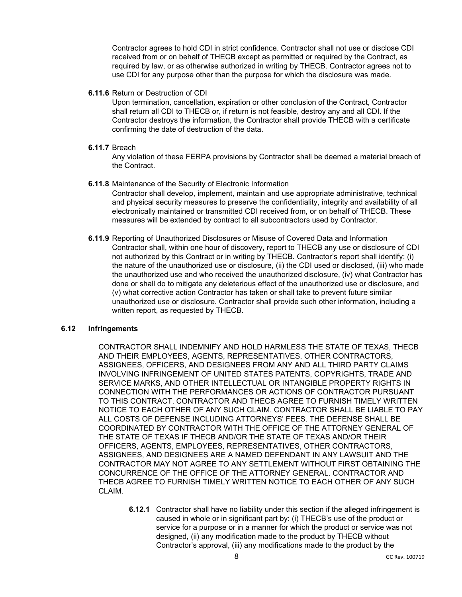Contractor agrees to hold CDI in strict confidence. Contractor shall not use or disclose CDI received from or on behalf of THECB except as permitted or required by the Contract, as required by law, or as otherwise authorized in writing by THECB. Contractor agrees not to use CDI for any purpose other than the purpose for which the disclosure was made.

**6.11.6** Return or Destruction of CDI

Upon termination, cancellation, expiration or other conclusion of the Contract, Contractor shall return all CDI to THECB or, if return is not feasible, destroy any and all CDI. If the Contractor destroys the information, the Contractor shall provide THECB with a certificate confirming the date of destruction of the data.

**6.11.7** Breach

Any violation of these FERPA provisions by Contractor shall be deemed a material breach of the Contract.

**6.11.8** Maintenance of the Security of Electronic Information

Contractor shall develop, implement, maintain and use appropriate administrative, technical and physical security measures to preserve the confidentiality, integrity and availability of all electronically maintained or transmitted CDI received from, or on behalf of THECB. These measures will be extended by contract to all subcontractors used by Contractor.

**6.11.9** Reporting of Unauthorized Disclosures or Misuse of Covered Data and Information Contractor shall, within one hour of discovery, report to THECB any use or disclosure of CDI not authorized by this Contract or in writing by THECB. Contractor's report shall identify: (i) the nature of the unauthorized use or disclosure, (ii) the CDI used or disclosed, (iii) who made the unauthorized use and who received the unauthorized disclosure, (iv) what Contractor has done or shall do to mitigate any deleterious effect of the unauthorized use or disclosure, and (v) what corrective action Contractor has taken or shall take to prevent future similar unauthorized use or disclosure. Contractor shall provide such other information, including a written report, as requested by THECB.

## **6.12 Infringements**

CONTRACTOR SHALL INDEMNIFY AND HOLD HARMLESS THE STATE OF TEXAS, THECB AND THEIR EMPLOYEES, AGENTS, REPRESENTATIVES, OTHER CONTRACTORS, ASSIGNEES, OFFICERS, AND DESIGNEES FROM ANY AND ALL THIRD PARTY CLAIMS INVOLVING INFRINGEMENT OF UNITED STATES PATENTS, COPYRIGHTS, TRADE AND SERVICE MARKS, AND OTHER INTELLECTUAL OR INTANGIBLE PROPERTY RIGHTS IN CONNECTION WITH THE PERFORMANCES OR ACTIONS OF CONTRACTOR PURSUANT TO THIS CONTRACT. CONTRACTOR AND THECB AGREE TO FURNISH TIMELY WRITTEN NOTICE TO EACH OTHER OF ANY SUCH CLAIM. CONTRACTOR SHALL BE LIABLE TO PAY ALL COSTS OF DEFENSE INCLUDING ATTORNEYS' FEES. THE DEFENSE SHALL BE COORDINATED BY CONTRACTOR WITH THE OFFICE OF THE ATTORNEY GENERAL OF THE STATE OF TEXAS IF THECB AND/OR THE STATE OF TEXAS AND/OR THEIR OFFICERS, AGENTS, EMPLOYEES, REPRESENTATIVES, OTHER CONTRACTORS, ASSIGNEES, AND DESIGNEES ARE A NAMED DEFENDANT IN ANY LAWSUIT AND THE CONTRACTOR MAY NOT AGREE TO ANY SETTLEMENT WITHOUT FIRST OBTAINING THE CONCURRENCE OF THE OFFICE OF THE ATTORNEY GENERAL. CONTRACTOR AND THECB AGREE TO FURNISH TIMELY WRITTEN NOTICE TO EACH OTHER OF ANY SUCH CLAIM.

**6.12.1** Contractor shall have no liability under this section if the alleged infringement is caused in whole or in significant part by: (i) THECB's use of the product or service for a purpose or in a manner for which the product or service was not designed, (ii) any modification made to the product by THECB without Contractor's approval, (iii) any modifications made to the product by the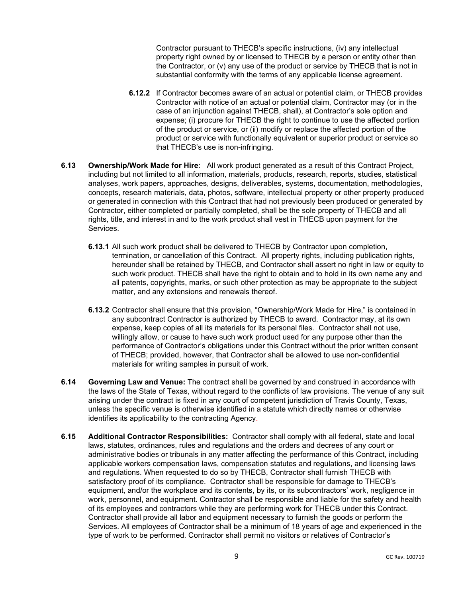Contractor pursuant to THECB's specific instructions, (iv) any intellectual property right owned by or licensed to THECB by a person or entity other than the Contractor, or (v) any use of the product or service by THECB that is not in substantial conformity with the terms of any applicable license agreement.

- **6.12.2** If Contractor becomes aware of an actual or potential claim, or THECB provides Contractor with notice of an actual or potential claim, Contractor may (or in the case of an injunction against THECB, shall), at Contractor's sole option and expense; (i) procure for THECB the right to continue to use the affected portion of the product or service, or (ii) modify or replace the affected portion of the product or service with functionally equivalent or superior product or service so that THECB's use is non-infringing.
- **6.13 Ownership/Work Made for Hire**: All work product generated as a result of this Contract Project, including but not limited to all information, materials, products, research, reports, studies, statistical analyses, work papers, approaches, designs, deliverables, systems, documentation, methodologies, concepts, research materials, data, photos, software, intellectual property or other property produced or generated in connection with this Contract that had not previously been produced or generated by Contractor, either completed or partially completed, shall be the sole property of THECB and all rights, title, and interest in and to the work product shall vest in THECB upon payment for the Services.
	- **6.13.1** All such work product shall be delivered to THECB by Contractor upon completion, termination, or cancellation of this Contract. All property rights, including publication rights, hereunder shall be retained by THECB, and Contractor shall assert no right in law or equity to such work product. THECB shall have the right to obtain and to hold in its own name any and all patents, copyrights, marks, or such other protection as may be appropriate to the subject matter, and any extensions and renewals thereof.
	- **6.13.2** Contractor shall ensure that this provision, "Ownership/Work Made for Hire," is contained in any subcontract Contractor is authorized by THECB to award. Contractor may, at its own expense, keep copies of all its materials for its personal files. Contractor shall not use, willingly allow, or cause to have such work product used for any purpose other than the performance of Contractor's obligations under this Contract without the prior written consent of THECB; provided, however, that Contractor shall be allowed to use non-confidential materials for writing samples in pursuit of work.
- **6.14 Governing Law and Venue:** The contract shall be governed by and construed in accordance with the laws of the State of Texas, without regard to the conflicts of law provisions. The venue of any suit arising under the contract is fixed in any court of competent jurisdiction of Travis County, Texas, unless the specific venue is otherwise identified in a statute which directly names or otherwise identifies its applicability to the contracting Agency.
- **6.15 Additional Contractor Responsibilities:** Contractor shall comply with all federal, state and local laws, statutes, ordinances, rules and regulations and the orders and decrees of any court or administrative bodies or tribunals in any matter affecting the performance of this Contract, including applicable workers compensation laws, compensation statutes and regulations, and licensing laws and regulations. When requested to do so by THECB, Contractor shall furnish THECB with satisfactory proof of its compliance. Contractor shall be responsible for damage to THECB's equipment, and/or the workplace and its contents, by its, or its subcontractors' work, negligence in work, personnel, and equipment. Contractor shall be responsible and liable for the safety and health of its employees and contractors while they are performing work for THECB under this Contract. Contractor shall provide all labor and equipment necessary to furnish the goods or perform the Services. All employees of Contractor shall be a minimum of 18 years of age and experienced in the type of work to be performed. Contractor shall permit no visitors or relatives of Contractor's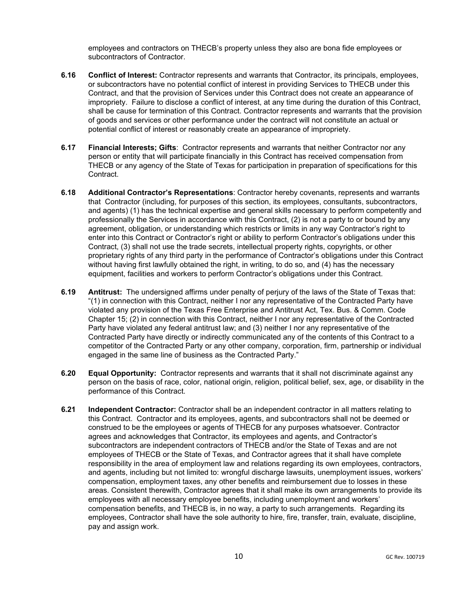employees and contractors on THECB's property unless they also are bona fide employees or subcontractors of Contractor.

- **6.16 Conflict of Interest:** Contractor represents and warrants that Contractor, its principals, employees, or subcontractors have no potential conflict of interest in providing Services to THECB under this Contract, and that the provision of Services under this Contract does not create an appearance of impropriety. Failure to disclose a conflict of interest, at any time during the duration of this Contract, shall be cause for termination of this Contract. Contractor represents and warrants that the provision of goods and services or other performance under the contract will not constitute an actual or potential conflict of interest or reasonably create an appearance of impropriety.
- **6.17 Financial Interests; Gifts**: Contractor represents and warrants that neither Contractor nor any person or entity that will participate financially in this Contract has received compensation from THECB or any agency of the State of Texas for participation in preparation of specifications for this Contract.
- **6.18 Additional Contractor's Representations**: Contractor hereby covenants, represents and warrants that Contractor (including, for purposes of this section, its employees, consultants, subcontractors, and agents) (1) has the technical expertise and general skills necessary to perform competently and professionally the Services in accordance with this Contract, (2) is not a party to or bound by any agreement, obligation, or understanding which restricts or limits in any way Contractor's right to enter into this Contract or Contractor's right or ability to perform Contractor's obligations under this Contract, (3) shall not use the trade secrets, intellectual property rights, copyrights, or other proprietary rights of any third party in the performance of Contractor's obligations under this Contract without having first lawfully obtained the right, in writing, to do so, and (4) has the necessary equipment, facilities and workers to perform Contractor's obligations under this Contract.
- **6.19 Antitrust:** The undersigned affirms under penalty of perjury of the laws of the State of Texas that: "(1) in connection with this Contract, neither I nor any representative of the Contracted Party have violated any provision of the Texas Free Enterprise and Antitrust Act, Tex. Bus. & Comm. Code Chapter 15; (2) in connection with this Contract, neither I nor any representative of the Contracted Party have violated any federal antitrust law; and (3) neither I nor any representative of the Contracted Party have directly or indirectly communicated any of the contents of this Contract to a competitor of the Contracted Party or any other company, corporation, firm, partnership or individual engaged in the same line of business as the Contracted Party."
- **6.20 Equal Opportunity:** Contractor represents and warrants that it shall not discriminate against any person on the basis of race, color, national origin, religion, political belief, sex, age, or disability in the performance of this Contract.
- **6.21 Independent Contractor:** Contractor shall be an independent contractor in all matters relating to this Contract. Contractor and its employees, agents, and subcontractors shall not be deemed or construed to be the employees or agents of THECB for any purposes whatsoever. Contractor agrees and acknowledges that Contractor, its employees and agents, and Contractor's subcontractors are independent contractors of THECB and/or the State of Texas and are not employees of THECB or the State of Texas, and Contractor agrees that it shall have complete responsibility in the area of employment law and relations regarding its own employees, contractors, and agents, including but not limited to: wrongful discharge lawsuits, unemployment issues, workers' compensation, employment taxes, any other benefits and reimbursement due to losses in these areas. Consistent therewith, Contractor agrees that it shall make its own arrangements to provide its employees with all necessary employee benefits, including unemployment and workers' compensation benefits, and THECB is, in no way, a party to such arrangements. Regarding its employees, Contractor shall have the sole authority to hire, fire, transfer, train, evaluate, discipline, pay and assign work.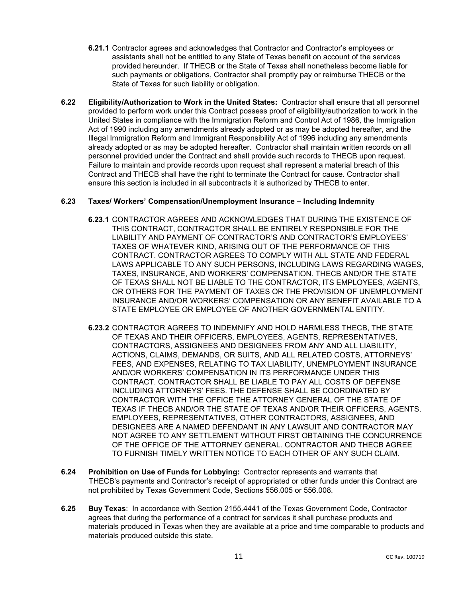- **6.21.1** Contractor agrees and acknowledges that Contractor and Contractor's employees or assistants shall not be entitled to any State of Texas benefit on account of the services provided hereunder. If THECB or the State of Texas shall nonetheless become liable for such payments or obligations, Contractor shall promptly pay or reimburse THECB or the State of Texas for such liability or obligation.
- **6.22 Eligibility/Authorization to Work in the United States:** Contractor shall ensure that all personnel provided to perform work under this Contract possess proof of eligibility/authorization to work in the United States in compliance with the Immigration Reform and Control Act of 1986, the Immigration Act of 1990 including any amendments already adopted or as may be adopted hereafter, and the Illegal Immigration Reform and Immigrant Responsibility Act of 1996 including any amendments already adopted or as may be adopted hereafter. Contractor shall maintain written records on all personnel provided under the Contract and shall provide such records to THECB upon request. Failure to maintain and provide records upon request shall represent a material breach of this Contract and THECB shall have the right to terminate the Contract for cause. Contractor shall ensure this section is included in all subcontracts it is authorized by THECB to enter.

# **6.23 Taxes/ Workers' Compensation/Unemployment Insurance – Including Indemnity**

- **6.23.1** CONTRACTOR AGREES AND ACKNOWLEDGES THAT DURING THE EXISTENCE OF THIS CONTRACT, CONTRACTOR SHALL BE ENTIRELY RESPONSIBLE FOR THE LIABILITY AND PAYMENT OF CONTRACTOR'S AND CONTRACTOR'S EMPLOYEES' TAXES OF WHATEVER KIND, ARISING OUT OF THE PERFORMANCE OF THIS CONTRACT. CONTRACTOR AGREES TO COMPLY WITH ALL STATE AND FEDERAL LAWS APPLICABLE TO ANY SUCH PERSONS, INCLUDING LAWS REGARDING WAGES, TAXES, INSURANCE, AND WORKERS' COMPENSATION. THECB AND/OR THE STATE OF TEXAS SHALL NOT BE LIABLE TO THE CONTRACTOR, ITS EMPLOYEES, AGENTS, OR OTHERS FOR THE PAYMENT OF TAXES OR THE PROVISION OF UNEMPLOYMENT INSURANCE AND/OR WORKERS' COMPENSATION OR ANY BENEFIT AVAILABLE TO A STATE EMPLOYEE OR EMPLOYEE OF ANOTHER GOVERNMENTAL ENTITY.
- **6.23.2** CONTRACTOR AGREES TO INDEMNIFY AND HOLD HARMLESS THECB, THE STATE OF TEXAS AND THEIR OFFICERS, EMPLOYEES, AGENTS, REPRESENTATIVES, CONTRACTORS, ASSIGNEES AND DESIGNEES FROM ANY AND ALL LIABILITY, ACTIONS, CLAIMS, DEMANDS, OR SUITS, AND ALL RELATED COSTS, ATTORNEYS' FEES, AND EXPENSES, RELATING TO TAX LIABILITY, UNEMPLOYMENT INSURANCE AND/OR WORKERS' COMPENSATION IN ITS PERFORMANCE UNDER THIS CONTRACT. CONTRACTOR SHALL BE LIABLE TO PAY ALL COSTS OF DEFENSE INCLUDING ATTORNEYS' FEES. THE DEFENSE SHALL BE COORDINATED BY CONTRACTOR WITH THE OFFICE THE ATTORNEY GENERAL OF THE STATE OF TEXAS IF THECB AND/OR THE STATE OF TEXAS AND/OR THEIR OFFICERS, AGENTS, EMPLOYEES, REPRESENTATIVES, OTHER CONTRACTORS, ASSIGNEES, AND DESIGNEES ARE A NAMED DEFENDANT IN ANY LAWSUIT AND CONTRACTOR MAY NOT AGREE TO ANY SETTLEMENT WITHOUT FIRST OBTAINING THE CONCURRENCE OF THE OFFICE OF THE ATTORNEY GENERAL. CONTRACTOR AND THECB AGREE TO FURNISH TIMELY WRITTEN NOTICE TO EACH OTHER OF ANY SUCH CLAIM.
- **6.24 Prohibition on Use of Funds for Lobbying:** Contractor represents and warrants that THECB's payments and Contractor's receipt of appropriated or other funds under this Contract are not prohibited by Texas Government Code, Sections 556.005 or 556.008.
- **6.25 Buy Texas**: In accordance with Section 2155.4441 of the Texas Government Code, Contractor agrees that during the performance of a contract for services it shall purchase products and materials produced in Texas when they are available at a price and time comparable to products and materials produced outside this state.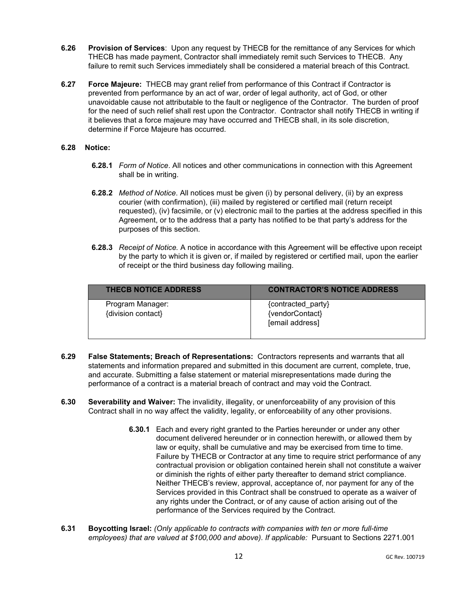- **6.26 Provision of Services**: Upon any request by THECB for the remittance of any Services for which THECB has made payment, Contractor shall immediately remit such Services to THECB. Any failure to remit such Services immediately shall be considered a material breach of this Contract.
- **6.27 Force Majeure:** THECB may grant relief from performance of this Contract if Contractor is prevented from performance by an act of war, order of legal authority, act of God, or other unavoidable cause not attributable to the fault or negligence of the Contractor. The burden of proof for the need of such relief shall rest upon the Contractor. Contractor shall notify THECB in writing if it believes that a force majeure may have occurred and THECB shall, in its sole discretion, determine if Force Majeure has occurred.

# **6.28 Notice:**

- **6.28.1** *Form of Notice*. All notices and other communications in connection with this Agreement shall be in writing.
- **6.28.2** *Method of Notice*. All notices must be given (i) by personal delivery, (ii) by an express courier (with confirmation), (iii) mailed by registered or certified mail (return receipt requested), (iv) facsimile, or (v) electronic mail to the parties at the address specified in this Agreement, or to the address that a party has notified to be that party's address for the purposes of this section.
- **6.28.3** *Receipt of Notice.* A notice in accordance with this Agreement will be effective upon receipt by the party to which it is given or, if mailed by registered or certified mail, upon the earlier of receipt or the third business day following mailing.

| <b>THECB NOTICE ADDRESS</b>            | <b>CONTRACTOR'S NOTICE ADDRESS</b>                       |
|----------------------------------------|----------------------------------------------------------|
| Program Manager:<br>{division contact} | {contracted party}<br>{vendorContact}<br>[email address] |

- **6.29 False Statements; Breach of Representations:** Contractors represents and warrants that all statements and information prepared and submitted in this document are current, complete, true, and accurate. Submitting a false statement or material misrepresentations made during the performance of a contract is a material breach of contract and may void the Contract.
- **6.30 Severability and Waiver:** The invalidity, illegality, or unenforceability of any provision of this Contract shall in no way affect the validity, legality, or enforceability of any other provisions.
	- **6.30.1** Each and every right granted to the Parties hereunder or under any other document delivered hereunder or in connection herewith, or allowed them by law or equity, shall be cumulative and may be exercised from time to time. Failure by THECB or Contractor at any time to require strict performance of any contractual provision or obligation contained herein shall not constitute a waiver or diminish the rights of either party thereafter to demand strict compliance. Neither THECB's review, approval, acceptance of, nor payment for any of the Services provided in this Contract shall be construed to operate as a waiver of any rights under the Contract, or of any cause of action arising out of the performance of the Services required by the Contract.
- **6.31 Boycotting Israel:** *(Only applicable to contracts with companies with ten or more full-time employees) that are valued at \$100,000 and above). If applicable:* Pursuant to Sections 2271.001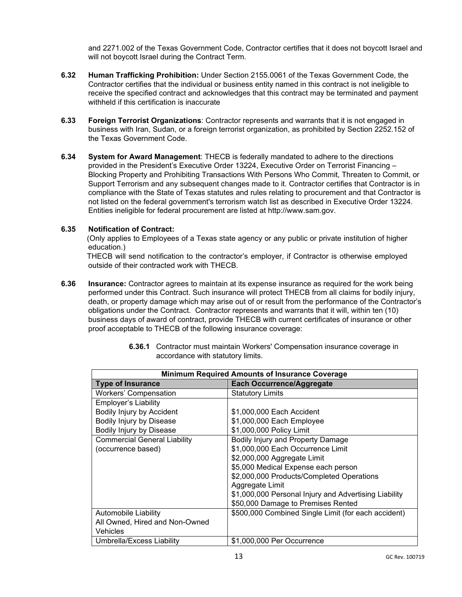and 2271.002 of the Texas Government Code, Contractor certifies that it does not boycott Israel and will not boycott Israel during the Contract Term.

- **6.32 Human Trafficking Prohibition:** Under Section 2155.0061 of the Texas Government Code, the Contractor certifies that the individual or business entity named in this contract is not ineligible to receive the specified contract and acknowledges that this contract may be terminated and payment withheld if this certification is inaccurate
- **6.33 Foreign Terrorist Organizations**: Contractor represents and warrants that it is not engaged in business with Iran, Sudan, or a foreign terrorist organization, as prohibited by Section 2252.152 of the Texas Government Code.
- **6.34 System for Award Management**: THECB is federally mandated to adhere to the directions provided in the President's Executive Order 13224, Executive Order on Terrorist Financing – Blocking Property and Prohibiting Transactions With Persons Who Commit, Threaten to Commit, or Support Terrorism and any subsequent changes made to it. Contractor certifies that Contractor is in compliance with the State of Texas statutes and rules relating to procurement and that Contractor is not listed on the federal government's terrorism watch list as described in Executive Order 13224. Entities ineligible for federal procurement are listed at [http://www.sam.gov.](http://www.sam.gov/)

# **6.35 Notification of Contract:**

(Only applies to Employees of a Texas state agency or any public or private institution of higher education.)

THECB will send notification to the contractor's employer, if Contractor is otherwise employed outside of their contracted work with THECB.

**6.36 Insurance:** Contractor agrees to maintain at its expense insurance as required for the work being performed under this Contract. Such insurance will protect THECB from all claims for bodily injury, death, or property damage which may arise out of or result from the performance of the Contractor's obligations under the Contract. Contractor represents and warrants that it will, within ten (10) business days of award of contract, provide THECB with current certificates of insurance or other proof acceptable to THECB of the following insurance coverage:

| <b>Minimum Required Amounts of Insurance Coverage</b> |                                                       |  |
|-------------------------------------------------------|-------------------------------------------------------|--|
| <b>Type of Insurance</b>                              | <b>Each Occurrence/Aggregate</b>                      |  |
| <b>Workers' Compensation</b>                          | <b>Statutory Limits</b>                               |  |
| Employer's Liability                                  |                                                       |  |
| Bodily Injury by Accident                             | \$1,000,000 Each Accident                             |  |
| Bodily Injury by Disease                              | \$1,000,000 Each Employee                             |  |
| Bodily Injury by Disease                              | \$1,000,000 Policy Limit                              |  |
| <b>Commercial General Liability</b>                   | Bodily Injury and Property Damage                     |  |
| (occurrence based)                                    | \$1,000,000 Each Occurrence Limit                     |  |
|                                                       | \$2,000,000 Aggregate Limit                           |  |
|                                                       | \$5,000 Medical Expense each person                   |  |
|                                                       | \$2,000,000 Products/Completed Operations             |  |
|                                                       | Aggregate Limit                                       |  |
|                                                       | \$1,000,000 Personal Injury and Advertising Liability |  |
|                                                       | \$50,000 Damage to Premises Rented                    |  |
| <b>Automobile Liability</b>                           | \$500,000 Combined Single Limit (for each accident)   |  |
| All Owned, Hired and Non-Owned                        |                                                       |  |
| Vehicles                                              |                                                       |  |
| Umbrella/Excess Liability                             | \$1,000,000 Per Occurrence                            |  |

**6.36.1** Contractor must maintain Workers' Compensation insurance coverage in accordance with statutory limits.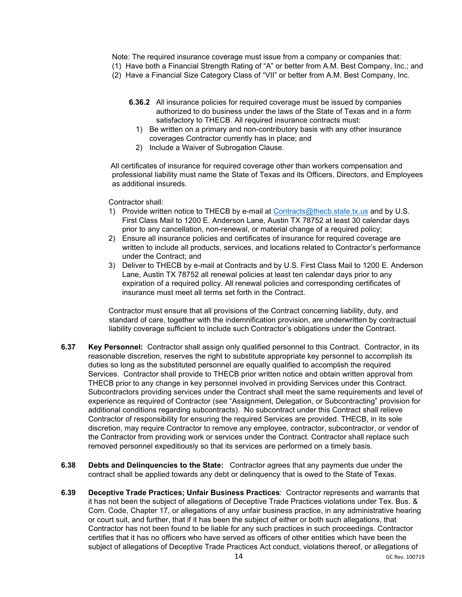Note: The required insurance coverage must issue from a company or companies that:

- (1) Have both a Financial Strength Rating of "A" or better from A.M. Best Company, Inc.; and
- (2) Have a Financial Size Category Class of "VII" or better from A.M. Best Company, Inc.
	- **6.36.2** All insurance policies for required coverage must be issued by companies authorized to do business under the laws of the State of Texas and in a form satisfactory to THECB. All required insurance contracts must:
		- 1) Be written on a primary and non-contributory basis with any other insurance coverages Contractor currently has in place; and
		- 2) Include a Waiver of Subrogation Clause.

All certificates of insurance for required coverage other than workers compensation and professional liability must name the State of Texas and its Officers, Directors, and Employees as additional insureds.

Contractor shall:

- 1) Provide written notice to THECB by e-mail at [Contracts@thecb.state.tx.us](mailto:Contracts@thecb.state.tx.us) and by U.S. First Class Mail to 1200 E. Anderson Lane, Austin TX 78752 at least 30 calendar days prior to any cancellation, non-renewal, or material change of a required policy;
- 2) Ensure all insurance policies and certificates of insurance for required coverage are written to include all products, services, and locations related to Contractor's performance under the Contract; and
- 3) Deliver to THECB by e-mail at Contracts and by U.S. First Class Mail to 1200 E. Anderson Lane, Austin TX 78752 all renewal policies at least ten calendar days prior to any expiration of a required policy. All renewal policies and corresponding certificates of insurance must meet all terms set forth in the Contract.

Contractor must ensure that all provisions of the Contract concerning liability, duty, and standard of care, together with the indemnification provision, are underwritten by contractual liability coverage sufficient to include such Contractor's obligations under the Contract.

- **6.37 Key Personnel:** Contractor shall assign only qualified personnel to this Contract. Contractor, in its reasonable discretion, reserves the right to substitute appropriate key personnel to accomplish its duties so long as the substituted personnel are equally qualified to accomplish the required Services. Contractor shall provide to THECB prior written notice and obtain written approval from THECB prior to any change in key personnel involved in providing Services under this Contract. Subcontractors providing services under the Contract shall meet the same requirements and level of experience as required of Contractor (see "Assignment, Delegation, or Subcontracting" provision for additional conditions regarding subcontracts). No subcontract under this Contract shall relieve Contractor of responsibility for ensuring the required Services are provided. THECB, in its sole discretion, may require Contractor to remove any employee, contractor, subcontractor, or vendor of the Contractor from providing work or services under the Contract. Contractor shall replace such removed personnel expeditiously so that its services are performed on a timely basis.
- **6.38 Debts and Delinquencies to the State:** Contractor agrees that any payments due under the contract shall be applied towards any debt or delinquency that is owed to the State of Texas.
- **6.39 Deceptive Trade Practices; Unfair Business Practices**: Contractor represents and warrants that it has not been the subject of allegations of Deceptive Trade Practices violations under Tex. Bus. & Com. Code, Chapter 17, or allegations of any unfair business practice, in any administrative hearing or court suit, and further, that if it has been the subject of either or both such allegations, that Contractor has not been found to be liable for any such practices in such proceedings. Contractor certifies that it has no officers who have served as officers of other entities which have been the subject of allegations of Deceptive Trade Practices Act conduct, violations thereof, or allegations of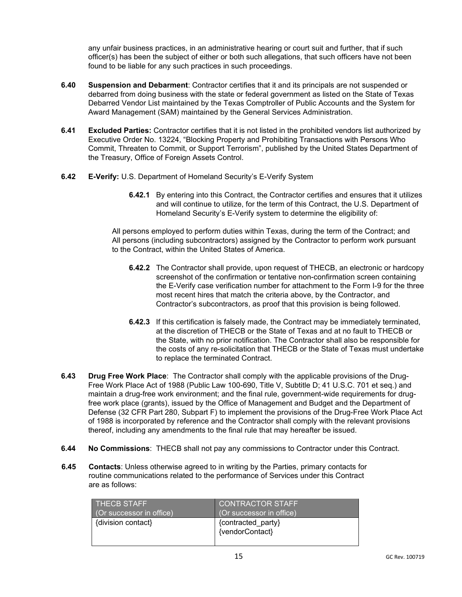any unfair business practices, in an administrative hearing or court suit and further, that if such officer(s) has been the subject of either or both such allegations, that such officers have not been found to be liable for any such practices in such proceedings.

- **6.40 Suspension and Debarment**: Contractor certifies that it and its principals are not suspended or debarred from doing business with the state or federal government as listed on the State of Texas Debarred Vendor List maintained by the Texas Comptroller of Public Accounts and the System for Award Management (SAM) maintained by the General Services Administration.
- **6.41 Excluded Parties:** Contractor certifies that it is not listed in the prohibited vendors list authorized by Executive Order No. 13224, "Blocking Property and Prohibiting Transactions with Persons Who Commit, Threaten to Commit, or Support Terrorism", published by the United States Department of the Treasury, Office of Foreign Assets Control.
- **6.42 E-Verify:** U.S. Department of Homeland Security's E-Verify System
	- **6.42.1** By entering into this Contract, the Contractor certifies and ensures that it utilizes and will continue to utilize, for the term of this Contract, the U.S. Department of Homeland Security's E-Verify system to determine the eligibility of:

All persons employed to perform duties within Texas, during the term of the Contract; and All persons (including subcontractors) assigned by the Contractor to perform work pursuant to the Contract, within the United States of America.

- **6.42.2** The Contractor shall provide, upon request of THECB, an electronic or hardcopy screenshot of the confirmation or tentative non-confirmation screen containing the E-Verify case verification number for attachment to the Form I-9 for the three most recent hires that match the criteria above, by the Contractor, and Contractor's subcontractors, as proof that this provision is being followed.
- **6.42.3** If this certification is falsely made, the Contract may be immediately terminated, at the discretion of THECB or the State of Texas and at no fault to THECB or the State, with no prior notification. The Contractor shall also be responsible for the costs of any re-solicitation that THECB or the State of Texas must undertake to replace the terminated Contract.
- **6.43 Drug Free Work Place**: The Contractor shall comply with the applicable provisions of the Drug-Free Work Place Act of 1988 (Public Law 100-690, Title V, Subtitle D; 41 U.S.C. 701 et seq.) and maintain a drug-free work environment; and the final rule, government-wide requirements for drugfree work place (grants), issued by the Office of Management and Budget and the Department of Defense (32 CFR Part 280, Subpart F) to implement the provisions of the Drug-Free Work Place Act of 1988 is incorporated by reference and the Contractor shall comply with the relevant provisions thereof, including any amendments to the final rule that may hereafter be issued.
- **6.44 No Commissions**: THECB shall not pay any commissions to Contractor under this Contract.
- **6.45 Contacts**: Unless otherwise agreed to in writing by the Parties, primary contacts for routine communications related to the performance of Services under this Contract are as follows:

| <b>THECB STAFF</b>       | <b>CONTRACTOR STAFF</b>               |
|--------------------------|---------------------------------------|
| (Or successor in office) | (Or successor in office)              |
| {division contact}       | {contracted_party}<br>{vendorContact} |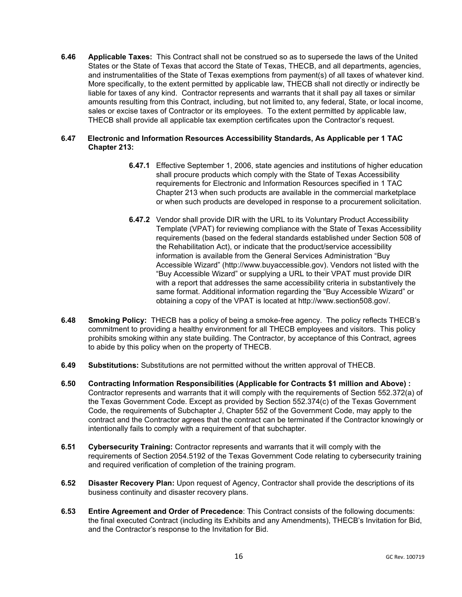**6.46 Applicable Taxes:** This Contract shall not be construed so as to supersede the laws of the United States or the State of Texas that accord the State of Texas, THECB, and all departments, agencies, and instrumentalities of the State of Texas exemptions from payment(s) of all taxes of whatever kind. More specifically, to the extent permitted by applicable law, THECB shall not directly or indirectly be liable for taxes of any kind. Contractor represents and warrants that it shall pay all taxes or similar amounts resulting from this Contract, including, but not limited to, any federal, State, or local income, sales or excise taxes of Contractor or its employees. To the extent permitted by applicable law, THECB shall provide all applicable tax exemption certificates upon the Contractor's request.

# **6.47 Electronic and Information Resources Accessibility Standards, As Applicable per 1 TAC Chapter 213:**

- **6.47.1** Effective September 1, 2006, state agencies and institutions of higher education shall procure products which comply with the State of Texas Accessibility requirements for Electronic and Information Resources specified in 1 TAC Chapter 213 when such products are available in the commercial marketplace or when such products are developed in response to a procurement solicitation.
- **6.47.2** Vendor shall provide DIR with the URL to its Voluntary Product Accessibility Template (VPAT) for reviewing compliance with the State of Texas Accessibility requirements (based on the federal standards established under Section 508 of the Rehabilitation Act), or indicate that the product/service accessibility information is available from the General Services Administration "Buy Accessible Wizard" (http://www.buyaccessible.gov). Vendors not listed with the "Buy Accessible Wizard" or supplying a URL to their VPAT must provide DIR with a report that addresses the same accessibility criteria in substantively the same format. Additional information regarding the "Buy Accessible Wizard" or obtaining a copy of the VPAT is located at http://www.section508.gov/.
- **6.48 Smoking Policy:** THECB has a policy of being a smoke-free agency. The policy reflects THECB's commitment to providing a healthy environment for all THECB employees and visitors. This policy prohibits smoking within any state building. The Contractor, by acceptance of this Contract, agrees to abide by this policy when on the property of THECB.
- **6.49 Substitutions:** Substitutions are not permitted without the written approval of THECB.
- **6.50 Contracting Information Responsibilities (Applicable for Contracts \$1 million and Above) :**  Contractor represents and warrants that it will comply with the requirements of Section 552.372(a) of the Texas Government Code. Except as provided by Section 552.374(c) of the Texas Government Code, the requirements of Subchapter J, Chapter 552 of the Government Code, may apply to the contract and the Contractor agrees that the contract can be terminated if the Contractor knowingly or intentionally fails to comply with a requirement of that subchapter.
- **6.51 Cybersecurity Training:** Contractor represents and warrants that it will comply with the requirements of Section 2054.5192 of the Texas Government Code relating to cybersecurity training and required verification of completion of the training program.
- **6.52 Disaster Recovery Plan:** Upon request of Agency, Contractor shall provide the descriptions of its business continuity and disaster recovery plans.
- **6.53 Entire Agreement and Order of Precedence**: This Contract consists of the following documents: the final executed Contract (including its Exhibits and any Amendments), THECB's Invitation for Bid, and the Contractor's response to the Invitation for Bid.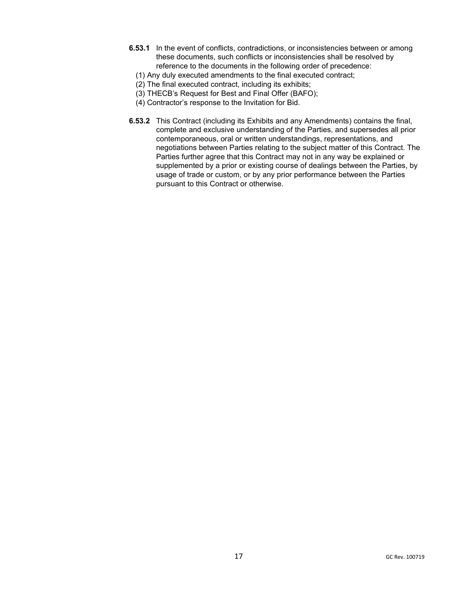- **6.53.1** In the event of conflicts, contradictions, or inconsistencies between or among these documents, such conflicts or inconsistencies shall be resolved by reference to the documents in the following order of precedence:
- (1) Any duly executed amendments to the final executed contract;
- (2) The final executed contract, including its exhibits;
- (3) THECB's Request for Best and Final Offer (BAFO);
- (4) Contractor's response to the Invitation for Bid.
- **6.53.2** This Contract (including its Exhibits and any Amendments) contains the final, complete and exclusive understanding of the Parties, and supersedes all prior contemporaneous, oral or written understandings, representations, and negotiations between Parties relating to the subject matter of this Contract. The Parties further agree that this Contract may not in any way be explained or supplemented by a prior or existing course of dealings between the Parties, by usage of trade or custom, or by any prior performance between the Parties pursuant to this Contract or otherwise.